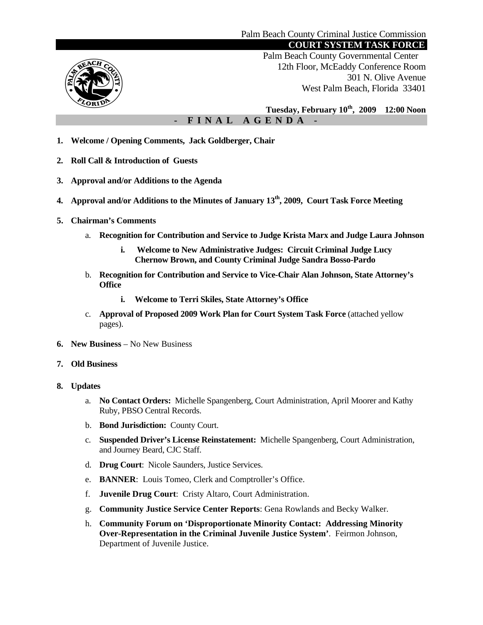

 Palm Beach County Governmental Center 12th Floor, McEaddy Conference Room 301 N. Olive Avenue West Palm Beach, Florida 33401

**Tuesday, February 10th, 2009 12:00 Noon - FINAL AGENDA -** 

- **1. Welcome / Opening Comments, Jack Goldberger, Chair**
- **2. Roll Call & Introduction of Guests**
- **3. Approval and/or Additions to the Agenda**
- **4. Approval and/or Additions to the Minutes of January 13th, 2009, Court Task Force Meeting**
- **5. Chairman's Comments** 
	- a. **Recognition for Contribution and Service to Judge Krista Marx and Judge Laura Johnson**
		- **i. Welcome to New Administrative Judges: Circuit Criminal Judge Lucy Chernow Brown, and County Criminal Judge Sandra Bosso-Pardo**
	- b. **Recognition for Contribution and Service to Vice-Chair Alan Johnson, State Attorney's Office**
		- **i. Welcome to Terri Skiles, State Attorney's Office**
	- c. **Approval of Proposed 2009 Work Plan for Court System Task Force** (attached yellow pages).
- **6. New Business** No New Business
- **7. Old Business**
- **8. Updates** 
	- a. **No Contact Orders:** Michelle Spangenberg, Court Administration, April Moorer and Kathy Ruby, PBSO Central Records.
	- b. **Bond Jurisdiction:** County Court.
	- c. **Suspended Driver's License Reinstatement:** Michelle Spangenberg, Court Administration, and Journey Beard, CJC Staff.
	- d. **Drug Court**: Nicole Saunders, Justice Services.
	- e. **BANNER**: Louis Tomeo, Clerk and Comptroller's Office.
	- f. **Juvenile Drug Court**: Cristy Altaro, Court Administration.
	- g. **Community Justice Service Center Reports**: Gena Rowlands and Becky Walker.
	- h. **Community Forum on 'Disproportionate Minority Contact: Addressing Minority Over-Representation in the Criminal Juvenile Justice System'**. Feirmon Johnson, Department of Juvenile Justice.